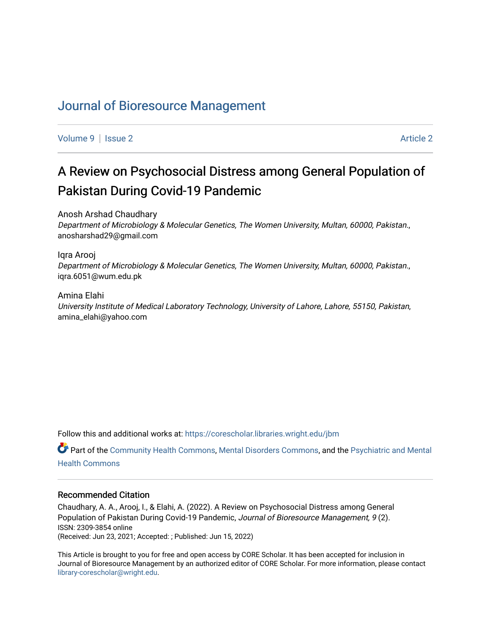# [Journal of Bioresource Management](https://corescholar.libraries.wright.edu/jbm)

[Volume 9](https://corescholar.libraries.wright.edu/jbm/vol9) | [Issue 2](https://corescholar.libraries.wright.edu/jbm/vol9/iss2) Article 2

# A Review on Psychosocial Distress among General Population of Pakistan During Covid-19 Pandemic

Anosh Arshad Chaudhary Department of Microbiology & Molecular Genetics, The Women University, Multan, 60000, Pakistan., anosharshad29@gmail.com

#### Iqra Arooj

Department of Microbiology & Molecular Genetics, The Women University, Multan, 60000, Pakistan., iqra.6051@wum.edu.pk

#### Amina Elahi University Institute of Medical Laboratory Technology, University of Lahore, Lahore, 55150, Pakistan, amina\_elahi@yahoo.com

Follow this and additional works at: [https://corescholar.libraries.wright.edu/jbm](https://corescholar.libraries.wright.edu/jbm?utm_source=corescholar.libraries.wright.edu%2Fjbm%2Fvol9%2Fiss2%2F2&utm_medium=PDF&utm_campaign=PDFCoverPages)

Part of the [Community Health Commons,](https://network.bepress.com/hgg/discipline/714?utm_source=corescholar.libraries.wright.edu%2Fjbm%2Fvol9%2Fiss2%2F2&utm_medium=PDF&utm_campaign=PDFCoverPages) [Mental Disorders Commons](https://network.bepress.com/hgg/discipline/968?utm_source=corescholar.libraries.wright.edu%2Fjbm%2Fvol9%2Fiss2%2F2&utm_medium=PDF&utm_campaign=PDFCoverPages), and the Psychiatric and Mental [Health Commons](https://network.bepress.com/hgg/discipline/711?utm_source=corescholar.libraries.wright.edu%2Fjbm%2Fvol9%2Fiss2%2F2&utm_medium=PDF&utm_campaign=PDFCoverPages) 

#### Recommended Citation

Chaudhary, A. A., Arooj, I., & Elahi, A. (2022). A Review on Psychosocial Distress among General Population of Pakistan During Covid-19 Pandemic, Journal of Bioresource Management, 9 (2). ISSN: 2309-3854 online (Received: Jun 23, 2021; Accepted: ; Published: Jun 15, 2022)

This Article is brought to you for free and open access by CORE Scholar. It has been accepted for inclusion in Journal of Bioresource Management by an authorized editor of CORE Scholar. For more information, please contact [library-corescholar@wright.edu](mailto:library-corescholar@wright.edu).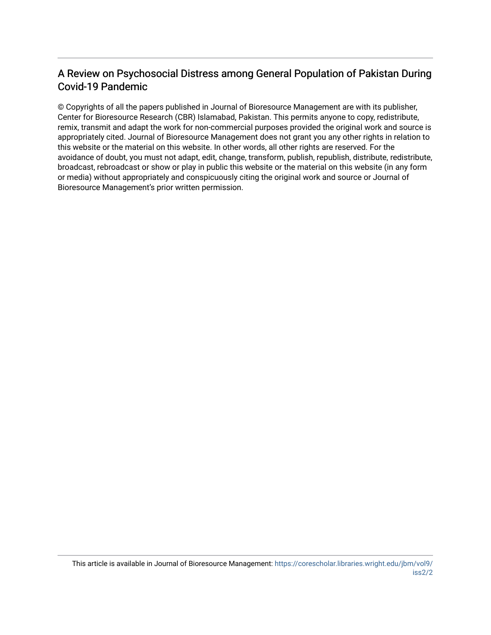# A Review on Psychosocial Distress among General Population of Pakistan During Covid-19 Pandemic

© Copyrights of all the papers published in Journal of Bioresource Management are with its publisher, Center for Bioresource Research (CBR) Islamabad, Pakistan. This permits anyone to copy, redistribute, remix, transmit and adapt the work for non-commercial purposes provided the original work and source is appropriately cited. Journal of Bioresource Management does not grant you any other rights in relation to this website or the material on this website. In other words, all other rights are reserved. For the avoidance of doubt, you must not adapt, edit, change, transform, publish, republish, distribute, redistribute, broadcast, rebroadcast or show or play in public this website or the material on this website (in any form or media) without appropriately and conspicuously citing the original work and source or Journal of Bioresource Management's prior written permission.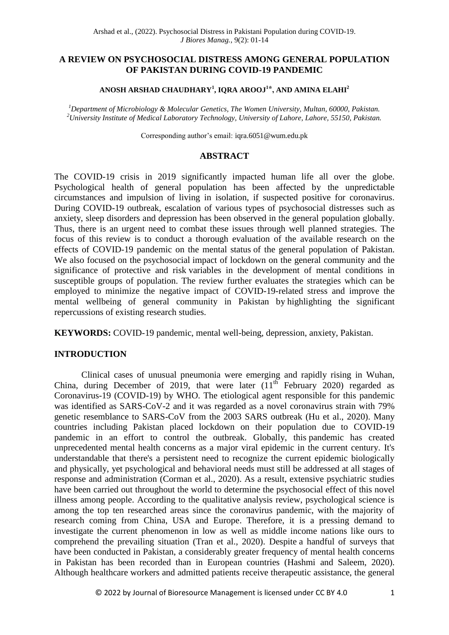#### **A REVIEW ON PSYCHOSOCIAL DISTRESS AMONG GENERAL POPULATION OF PAKISTAN DURING COVID-19 PANDEMIC**

#### **ANOSH ARSHAD CHAUDHARY<sup>1</sup> , IQRA AROOJ<sup>1</sup> ⃰ , AND AMINA ELAHI<sup>2</sup>**

*<sup>1</sup>Department of Microbiology & Molecular Genetics, The Women University, Multan, 60000, Pakistan. <sup>2</sup>University Institute of Medical Laboratory Technology, University of Lahore, Lahore, 55150, Pakistan.* 

Corresponding author's email: igra.6051@wum.edu.pk

#### **ABSTRACT**

The COVID-19 crisis in 2019 significantly impacted human life all over the globe. Psychological health of general population has been affected by the unpredictable circumstances and impulsion of living in isolation, if suspected positive for coronavirus. During COVID-19 outbreak, escalation of various types of psychosocial distresses such as anxiety, sleep disorders and depression has been observed in the general population globally. Thus, there is an urgent need to combat these issues through well planned strategies. The focus of this review is to conduct a thorough evaluation of the available research on the effects of COVID-19 pandemic on the mental status of the general population of Pakistan. We also focused on the psychosocial impact of lockdown on the general community and the significance of protective and risk variables in the development of mental conditions in susceptible groups of population. The review further evaluates the strategies which can be employed to minimize the negative impact of COVID-19-related stress and improve the mental wellbeing of general community in Pakistan by highlighting the significant repercussions of existing research studies.

**KEYWORDS:** COVID-19 pandemic, mental well-being, depression, anxiety, Pakistan.

#### **INTRODUCTION**

Clinical cases of unusual pneumonia were emerging and rapidly rising in Wuhan, China, during December of 2019, that were later  $(11<sup>th</sup>$  February 2020) regarded as Coronavirus-19 (COVID-19) by WHO. The etiological agent responsible for this pandemic was identified as SARS-CoV-2 and it was regarded as a novel coronavirus strain with 79% genetic resemblance to SARS-CoV from the 2003 SARS outbreak (Hu et al., 2020). Many countries including Pakistan placed lockdown on their population due to COVID-19 pandemic in an effort to control the outbreak. Globally, this pandemic has created unprecedented mental health concerns as a major viral epidemic in the current century. It's understandable that there's a persistent need to recognize the current epidemic biologically and physically, yet psychological and behavioral needs must still be addressed at all stages of response and administration (Corman et al., 2020). As a result, extensive psychiatric studies have been carried out throughout the world to determine the psychosocial effect of this novel illness among people. According to the qualitative analysis review, psychological science is among the top ten researched areas since the coronavirus pandemic, with the majority of research coming from China, USA and Europe. Therefore, it is a pressing demand to investigate the current phenomenon in low as well as middle income nations like ours to comprehend the prevailing situation (Tran et al., 2020). Despite a handful of surveys that have been conducted in Pakistan, a considerably greater frequency of mental health concerns in Pakistan has been recorded than in European countries (Hashmi and Saleem, 2020). Although healthcare workers and admitted patients receive therapeutic assistance, the general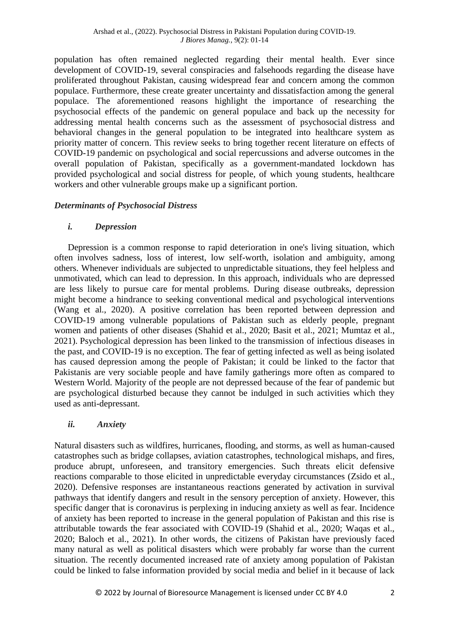population has often remained neglected regarding their mental health. Ever since development of COVID-19, several conspiracies and falsehoods regarding the disease have proliferated throughout Pakistan, causing widespread fear and concern among the common populace. Furthermore, these create greater uncertainty and dissatisfaction among the general populace. The aforementioned reasons highlight the importance of researching the psychosocial effects of the pandemic on general populace and back up the necessity for addressing mental health concerns such as the assessment of psychosocial distress and behavioral changes in the general population to be integrated into healthcare system as priority matter of concern. This review seeks to bring together recent literature on effects of COVID-19 pandemic on psychological and social repercussions and adverse outcomes in the overall population of Pakistan, specifically as a government-mandated lockdown has provided psychological and social distress for people, of which young students, healthcare workers and other vulnerable groups make up a significant portion.

#### *Determinants of Psychosocial Distress*

### *i. Depression*

Depression is a common response to rapid deterioration in one's living situation, which often involves sadness, loss of interest, low self-worth, isolation and ambiguity, among others. Whenever individuals are subjected to unpredictable situations, they feel helpless and unmotivated, which can lead to depression. In this approach, individuals who are depressed are less likely to pursue care for mental problems. During disease outbreaks, depression might become a hindrance to seeking conventional medical and psychological interventions (Wang et al., 2020). A positive correlation has been reported between depression and COVID-19 among vulnerable populations of Pakistan such as elderly people, pregnant women and patients of other diseases (Shahid et al., 2020; Basit et al., 2021; Mumtaz et al., 2021). Psychological depression has been linked to the transmission of infectious diseases in the past, and COVID-19 is no exception. The fear of getting infected as well as being isolated has caused depression among the people of Pakistan; it could be linked to the factor that Pakistanis are very sociable people and have family gatherings more often as compared to Western World. Majority of the people are not depressed because of the fear of pandemic but are psychological disturbed because they cannot be indulged in such activities which they used as anti-depressant.

# *ii. Anxiety*

Natural disasters such as wildfires, hurricanes, flooding, and storms, as well as human-caused catastrophes such as bridge collapses, aviation catastrophes, technological mishaps, and fires, produce abrupt, unforeseen, and transitory emergencies. Such threats elicit defensive reactions comparable to those elicited in unpredictable everyday circumstances (Zsido et al., 2020). Defensive responses are instantaneous reactions generated by activation in survival pathways that identify dangers and result in the sensory perception of anxiety. However, this specific danger that is coronavirus is perplexing in inducing anxiety as well as fear. Incidence of anxiety has been reported to increase in the general population of Pakistan and this rise is attributable towards the fear associated with COVID-19 (Shahid et al., 2020; Waqas et al., 2020; Baloch et al., 2021). In other words, the citizens of Pakistan have previously faced many natural as well as political disasters which were probably far worse than the current situation. The recently documented increased rate of anxiety among population of Pakistan could be linked to false information provided by social media and belief in it because of lack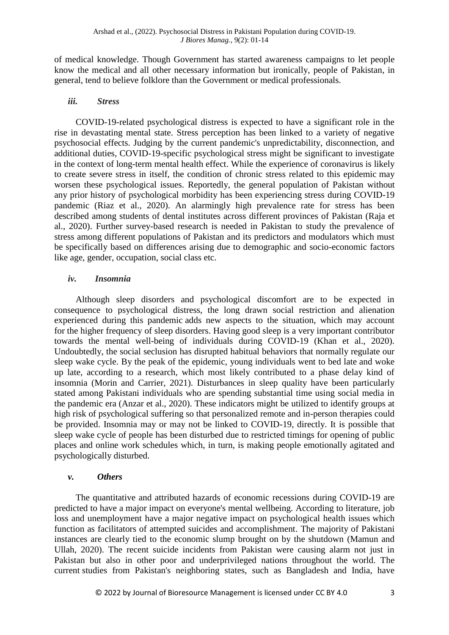of medical knowledge. Though Government has started awareness campaigns to let people know the medical and all other necessary information but ironically, people of Pakistan, in general, tend to believe folklore than the Government or medical professionals.

#### *iii. Stress*

COVID-19-related psychological distress is expected to have a significant role in the rise in devastating mental state. Stress perception has been linked to a variety of negative psychosocial effects. Judging by the current pandemic's unpredictability, disconnection, and additional duties, COVID-19-specific psychological stress might be significant to investigate in the context of long-term mental health effect. While the experience of coronavirus is likely to create severe stress in itself, the condition of chronic stress related to this epidemic may worsen these psychological issues. Reportedly, the general population of Pakistan without any prior history of psychological morbidity has been experiencing stress during COVID-19 pandemic (Riaz et al., 2020). An alarmingly high prevalence rate for stress has been described among students of dental institutes across different provinces of Pakistan (Raja et al., 2020). Further survey-based research is needed in Pakistan to study the prevalence of stress among different populations of Pakistan and its predictors and modulators which must be specifically based on differences arising due to demographic and socio-economic factors like age, gender, occupation, social class etc.

# *iv. Insomnia*

Although sleep disorders and psychological discomfort are to be expected in consequence to psychological distress, the long drawn social restriction and alienation experienced during this pandemic adds new aspects to the situation, which may account for the higher frequency of sleep disorders. Having good sleep is a very important contributor towards the mental well-being of individuals during COVID-19 (Khan et al., 2020). Undoubtedly, the social seclusion has disrupted habitual behaviors that normally regulate our sleep wake cycle. By the peak of the epidemic, young individuals went to bed late and woke up late, according to a research, which most likely contributed to a phase delay kind of insomnia (Morin and Carrier, 2021). Disturbances in sleep quality have been particularly stated among Pakistani individuals who are spending substantial time using social media in the pandemic era (Anzar et al., 2020). These indicators might be utilized to identify groups at high risk of psychological suffering so that personalized remote and in-person therapies could be provided. Insomnia may or may not be linked to COVID-19, directly. It is possible that sleep wake cycle of people has been disturbed due to restricted timings for opening of public places and online work schedules which, in turn, is making people emotionally agitated and psychologically disturbed.

# *v. Others*

The quantitative and attributed hazards of economic recessions during COVID-19 are predicted to have a major impact on everyone's mental wellbeing. According to literature, job loss and unemployment have a major negative impact on psychological health issues which function as facilitators of attempted suicides and accomplishment. The majority of Pakistani instances are clearly tied to the economic slump brought on by the shutdown (Mamun and Ullah, 2020). The recent suicide incidents from Pakistan were causing alarm not just in Pakistan but also in other poor and underprivileged nations throughout the world. The current studies from Pakistan's neighboring states, such as Bangladesh and India, have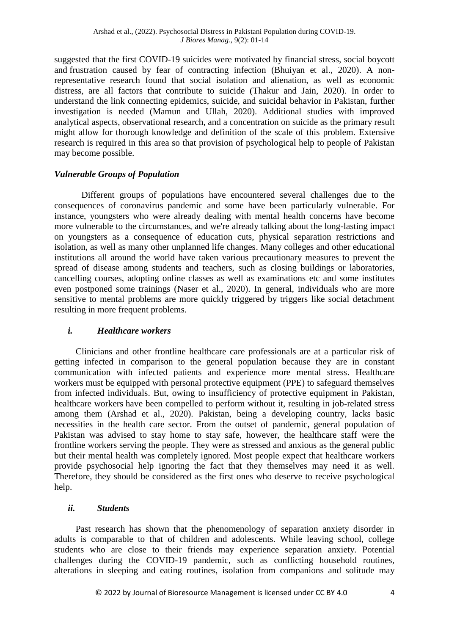suggested that the first COVID-19 suicides were motivated by financial stress, social boycott and frustration caused by fear of contracting infection [\(Bhuiyan et al., 2020\)](https://www.ncbi.nlm.nih.gov/pmc/articles/PMC7212955/#b9015). A nonrepresentative research found that social isolation and alienation, as well as economic distress, are all factors that contribute to suicide (Thakur and Jain, 2020). In order to understand the link connecting epidemics, suicide, and suicidal behavior in Pakistan, further investigation is needed (Mamun and Ullah, 2020). Additional studies with improved analytical aspects, observational research, and a concentration on suicide as the primary result might allow for thorough knowledge and definition of the scale of this problem. Extensive research is required in this area so that provision of psychological help to people of Pakistan may become possible.

# *Vulnerable Groups of Population*

Different groups of populations have encountered several challenges due to the consequences of coronavirus pandemic and some have been particularly vulnerable. For instance, youngsters who were already dealing with mental health concerns have become more vulnerable to the circumstances, and we're already talking about the long-lasting impact on youngsters as a consequence of education cuts, physical separation restrictions and isolation, as well as many other unplanned life changes. Many colleges and other educational institutions all around the world have taken various precautionary measures to prevent the spread of disease among students and teachers, such as closing buildings or laboratories, cancelling courses, adopting online classes as well as examinations etc and some institutes even postponed some trainings (Naser et al., 2020). In general, individuals who are more sensitive to mental problems are more quickly triggered by triggers like social detachment resulting in more frequent problems.

#### *i. Healthcare workers*

Clinicians and other frontline healthcare care professionals are at a particular risk of getting infected in comparison to the general population because they are in constant communication with infected patients and experience more mental stress. Healthcare workers must be equipped with personal protective equipment (PPE) to safeguard themselves from infected individuals. But, owing to insufficiency of protective equipment in Pakistan, healthcare workers have been compelled to perform without it, resulting in job-related stress among them (Arshad et al., 2020). Pakistan, being a developing country, lacks basic necessities in the health care sector. From the outset of pandemic, general population of Pakistan was advised to stay home to stay safe, however, the healthcare staff were the frontline workers serving the people. They were as stressed and anxious as the general public but their mental health was completely ignored. Most people expect that healthcare workers provide psychosocial help ignoring the fact that they themselves may need it as well. Therefore, they should be considered as the first ones who deserve to receive psychological help.

### *ii. Students*

Past research has shown that the phenomenology of separation anxiety disorder in adults is comparable to that of children and adolescents. While leaving school, college students who are close to their friends may experience separation anxiety. Potential challenges during the COVID-19 pandemic, such as conflicting household routines, alterations in sleeping and eating routines, isolation from companions and solitude may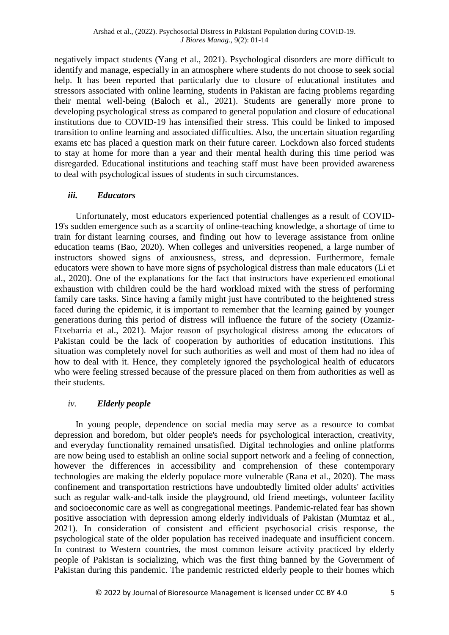negatively impact students (Yang et al., 2021). Psychological disorders are more difficult to identify and manage, especially in an atmosphere where students do not choose to seek social help. It has been reported that particularly due to closure of educational institutes and stressors associated with online learning, students in Pakistan are facing problems regarding their mental well-being (Baloch et al., 2021). Students are generally more prone to developing psychological stress as compared to general population and closure of educational institutions due to COVID-19 has intensified their stress. This could be linked to imposed transition to online learning and associated difficulties. Also, the uncertain situation regarding exams etc has placed a question mark on their future career. Lockdown also forced students to stay at home for more than a year and their mental health during this time period was disregarded. Educational institutions and teaching staff must have been provided awareness to deal with psychological issues of students in such circumstances.

### *iii. Educators*

Unfortunately, most educators experienced potential challenges as a result of COVID-19's sudden emergence such as a scarcity of online-teaching knowledge, a shortage of time to train for distant learning courses, and finding out how to leverage assistance from online education teams (Bao, 2020). When colleges and universities reopened, a large number of instructors showed signs of anxiousness, stress, and depression. Furthermore, female educators were shown to have more signs of psychological distress than male educators (Li et al., 2020). One of the explanations for the fact that instructors have experienced emotional exhaustion with children could be the hard workload mixed with the stress of performing family care tasks. Since having a family might just have contributed to the heightened stress faced during the epidemic, it is important to remember that the learning gained by younger generations during this period of distress will influence the future of the society (Ozamiz-Etxebarria et al., 2021). Major reason of psychological distress among the educators of Pakistan could be the lack of cooperation by authorities of education institutions. This situation was completely novel for such authorities as well and most of them had no idea of how to deal with it. Hence, they completely ignored the psychological health of educators who were feeling stressed because of the pressure placed on them from authorities as well as their students.

# *iv. Elderly people*

In young people, dependence on social media may serve as a resource to combat depression and boredom, but older people's needs for psychological interaction, creativity, and everyday functionality remained unsatisfied. Digital technologies and online platforms are now being used to establish an online social support network and a feeling of connection, however the differences in accessibility and comprehension of these contemporary technologies are making the elderly populace more vulnerable (Rana et al., 2020). The mass confinement and transportation restrictions have undoubtedly limited older adults' activities such as regular walk-and-talk inside the playground, old friend meetings, volunteer facility and socioeconomic care as well as congregational meetings. Pandemic-related fear has shown positive association with depression among elderly individuals of Pakistan (Mumtaz et al., 2021). In consideration of consistent and efficient psychosocial crisis response, the psychological state of the older population has received inadequate and insufficient concern. In contrast to Western countries, the most common leisure activity practiced by elderly people of Pakistan is socializing, which was the first thing banned by the Government of Pakistan during this pandemic. The pandemic restricted elderly people to their homes which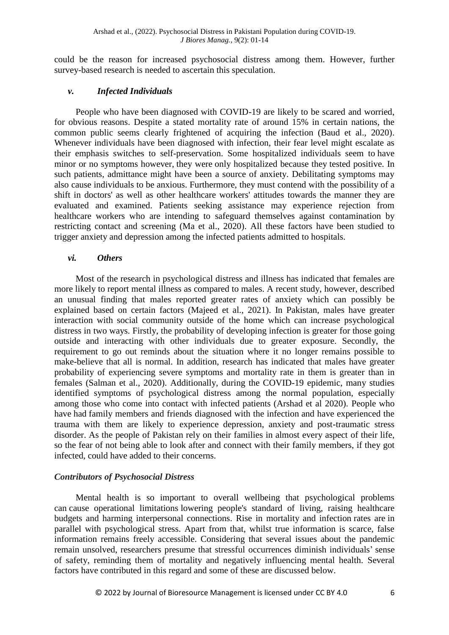could be the reason for increased psychosocial distress among them. However, further survey-based research is needed to ascertain this speculation.

## *v. Infected Individuals*

People who have been diagnosed with COVID-19 are likely to be scared and worried, for obvious reasons. Despite a stated mortality rate of around 15% in certain nations, the common public seems clearly frightened of acquiring the infection (Baud et al., 2020). Whenever individuals have been diagnosed with infection, their fear level might escalate as their emphasis switches to self-preservation. Some hospitalized individuals seem to have minor or no symptoms however, they were only hospitalized because they tested positive. In such patients, admittance might have been a source of anxiety. Debilitating symptoms may also cause individuals to be anxious. Furthermore, they must contend with the possibility of a shift in doctors' as well as other healthcare workers' attitudes towards the manner they are evaluated and examined. Patients seeking assistance may experience rejection from healthcare workers who are intending to safeguard themselves against contamination by restricting contact and screening (Ma et al., 2020). All these factors have been studied to trigger anxiety and depression among the infected patients admitted to hospitals.

#### *vi. Others*

Most of the research in psychological distress and illness has indicated that females are more likely to report mental illness as compared to males. A recent study, however, described an unusual finding that males reported greater rates of anxiety which can possibly be explained based on certain factors (Majeed et al., 2021). In Pakistan, males have greater interaction with social community outside of the home which can increase psychological distress in two ways. Firstly, the probability of developing infection is greater for those going outside and interacting with other individuals due to greater exposure. Secondly, the requirement to go out reminds about the situation where it no longer remains possible to make-believe that all is normal. In addition, research has indicated that males have greater probability of experiencing severe symptoms and mortality rate in them is greater than in females (Salman et al., 2020). Additionally, during the COVID-19 epidemic, many studies identified symptoms of psychological distress among the normal population, especially among those who come into contact with infected patients (Arshad et al 2020). People who have had family members and friends diagnosed with the infection and have experienced the trauma with them are likely to experience depression, anxiety and post-traumatic stress disorder. As the people of Pakistan rely on their families in almost every aspect of their life, so the fear of not being able to look after and connect with their family members, if they got infected, could have added to their concerns.

# *Contributors of Psychosocial Distress*

Mental health is so important to overall wellbeing that psychological problems can cause operational limitations lowering people's standard of living, raising healthcare budgets and harming interpersonal connections. Rise in mortality and infection rates are in parallel with psychological stress. Apart from that, whilst true information is scarce, false information remains freely accessible. Considering that several issues about the pandemic remain unsolved, researchers presume that stressful occurrences diminish individuals' sense of safety, reminding them of mortality and negatively influencing mental health. Several factors have contributed in this regard and some of these are discussed below.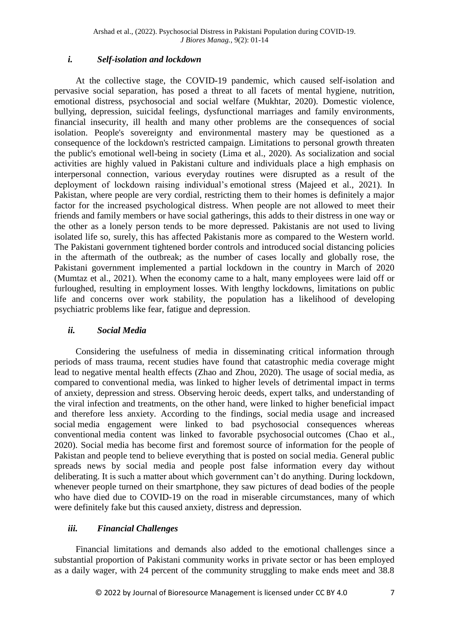## *i. Self-isolation and lockdown*

At the collective stage, the COVID-19 pandemic, which caused self-isolation and pervasive social separation, has posed a threat to all facets of mental hygiene, nutrition, emotional distress, psychosocial and social welfare (Mukhtar, 2020). Domestic violence, bullying, depression, suicidal feelings, dysfunctional marriages and family environments, financial insecurity, ill health and many other problems are the consequences of social isolation. People's sovereignty and environmental mastery may be questioned as a consequence of the lockdown's restricted campaign. Limitations to personal growth threaten the public's emotional well-being in society (Lima et al., 2020). As socialization and social activities are highly valued in Pakistani culture and individuals place a high emphasis on interpersonal connection, various everyday routines were disrupted as a result of the deployment of lockdown raising individual's emotional stress (Majeed et al., 2021). In Pakistan, where people are very cordial, restricting them to their homes is definitely a major factor for the increased psychological distress. When people are not allowed to meet their friends and family members or have social gatherings, this adds to their distress in one way or the other as a lonely person tends to be more depressed. Pakistanis are not used to living isolated life so, surely, this has affected Pakistanis more as compared to the Western world. The Pakistani government tightened border controls and introduced social distancing policies in the aftermath of the outbreak; as the number of cases locally and globally rose, the Pakistani government implemented a partial lockdown in the country in March of 2020 (Mumtaz et al., 2021). When the economy came to a halt, many employees were laid off or furloughed, resulting in employment losses. With lengthy lockdowns, limitations on public life and concerns over work stability, the population has a likelihood of developing psychiatric problems like fear, fatigue and depression.

#### *ii. Social Media*

Considering the usefulness of media in disseminating critical information through periods of mass trauma, recent studies have found that catastrophic media coverage might lead to negative mental health effects (Zhao and Zhou, 2020). The usage of social media, as compared to conventional media, was linked to higher levels of detrimental impact in terms of anxiety, depression and stress. Observing heroic deeds, expert talks, and understanding of the viral infection and treatments, on the other hand, were linked to higher beneficial impact and therefore less anxiety. According to the findings, social media usage and increased social media engagement were linked to bad psychosocial consequences whereas conventional media content was linked to favorable psychosocial outcomes (Chao et al., 2020). Social media has become first and foremost source of information for the people of Pakistan and people tend to believe everything that is posted on social media. General public spreads news by social media and people post false information every day without deliberating. It is such a matter about which government can't do anything. During lockdown, whenever people turned on their smartphone, they saw pictures of dead bodies of the people who have died due to COVID-19 on the road in miserable circumstances, many of which were definitely fake but this caused anxiety, distress and depression.

# *iii. Financial Challenges*

Financial limitations and demands also added to the emotional challenges since a substantial proportion of Pakistani community works in private sector or has been employed as a daily wager, with 24 percent of the community struggling to make ends meet and 38.8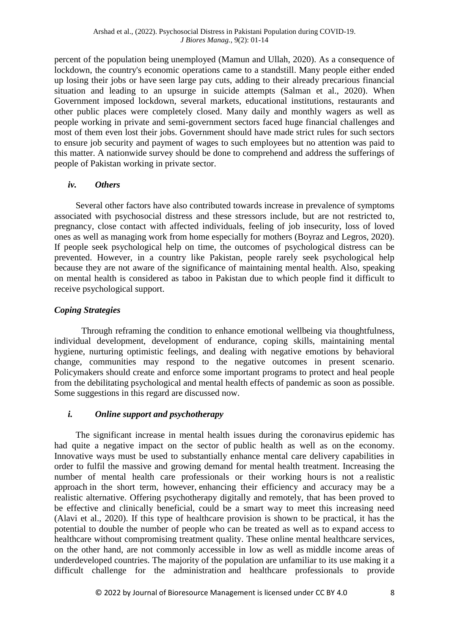percent of the population being unemployed (Mamun and Ullah, 2020). As a consequence of lockdown, the country's economic operations came to a standstill. Many people either ended up losing their jobs or have seen large pay cuts, adding to their already precarious financial situation and leading to an upsurge in suicide attempts (Salman et al., 2020). When Government imposed lockdown, several markets, educational institutions, restaurants and other public places were completely closed. Many daily and monthly wagers as well as people working in private and semi-government sectors faced huge financial challenges and most of them even lost their jobs. Government should have made strict rules for such sectors to ensure job security and payment of wages to such employees but no attention was paid to this matter. A nationwide survey should be done to comprehend and address the sufferings of people of Pakistan working in private sector.

# *iv. Others*

Several other factors have also contributed towards increase in prevalence of symptoms associated with psychosocial distress and these stressors include, but are not restricted to, pregnancy, close contact with affected individuals, feeling of job insecurity, loss of loved ones as well as managing work from home especially for mothers (Boyraz and Legros, 2020). If people seek psychological help on time, the outcomes of psychological distress can be prevented. However, in a country like Pakistan, people rarely seek psychological help because they are not aware of the significance of maintaining mental health. Also, speaking on mental health is considered as taboo in Pakistan due to which people find it difficult to receive psychological support.

# *Coping Strategies*

Through reframing the condition to enhance emotional wellbeing via thoughtfulness, individual development, development of endurance, coping skills, maintaining mental hygiene, nurturing optimistic feelings, and dealing with negative emotions by behavioral change, communities may respond to the negative outcomes in present scenario. Policymakers should create and enforce some important programs to protect and heal people from the debilitating psychological and mental health effects of pandemic as soon as possible. Some suggestions in this regard are discussed now.

# *i. Online support and psychotherapy*

The significant increase in mental health issues during the coronavirus epidemic has had quite a negative impact on the sector of public health as well as on the economy. Innovative ways must be used to substantially enhance mental care delivery capabilities in order to fulfil the massive and growing demand for mental health treatment. Increasing the number of mental health care professionals or their working hours is not a realistic approach in the short term, however, enhancing their efficiency and accuracy may be a realistic alternative. Offering psychotherapy digitally and remotely, that has been proved to be effective and clinically beneficial, could be a smart way to meet this increasing need (Alavi et al., 2020). If this type of healthcare provision is shown to be practical, it has the potential to double the number of people who can be treated as well as to expand access to healthcare without compromising treatment quality. These online mental healthcare services, on the other hand, are not commonly accessible in low as well as middle income areas of underdeveloped countries. The majority of the population are unfamiliar to its use making it a difficult challenge for the administration and healthcare professionals to provide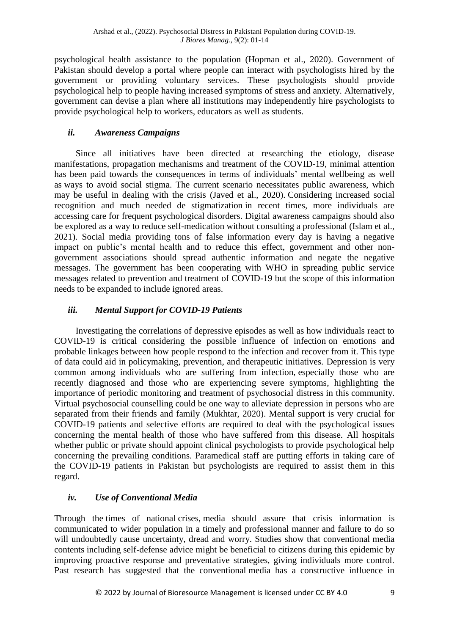psychological health assistance to the population (Hopman et al., 2020). Government of Pakistan should develop a portal where people can interact with psychologists hired by the government or providing voluntary services. These psychologists should provide psychological help to people having increased symptoms of stress and anxiety. Alternatively, government can devise a plan where all institutions may independently hire psychologists to provide psychological help to workers, educators as well as students.

# *ii. Awareness Campaigns*

Since all initiatives have been directed at researching the etiology, disease manifestations, propagation mechanisms and treatment of the COVID-19, minimal attention has been paid towards the consequences in terms of individuals' mental wellbeing as well as ways to avoid social stigma. The current scenario necessitates public awareness, which may be useful in dealing with the crisis (Javed et al., 2020). Considering increased social recognition and much needed de stigmatization in recent times, more individuals are accessing care for frequent psychological disorders. Digital awareness campaigns should also be explored as a way to reduce self-medication without consulting a professional (Islam et al., 2021). Social media providing tons of false information every day is having a negative impact on public's mental health and to reduce this effect, government and other nongovernment associations should spread authentic information and negate the negative messages. The government has been cooperating with WHO in spreading public service messages related to prevention and treatment of COVID-19 but the scope of this information needs to be expanded to include ignored areas.

# *iii. Mental Support for COVID-19 Patients*

Investigating the correlations of depressive episodes as well as how individuals react to COVID-19 is critical considering the possible influence of infection on emotions and probable linkages between how people respond to the infection and recover from it. This type of data could aid in policymaking, prevention, and therapeutic initiatives. Depression is very common among individuals who are suffering from infection, especially those who are recently diagnosed and those who are experiencing severe symptoms, highlighting the importance of periodic monitoring and treatment of psychosocial distress in this community. Virtual psychosocial counselling could be one way to alleviate depression in persons who are separated from their friends and family (Mukhtar, 2020). Mental support is very crucial for COVID-19 patients and selective efforts are required to deal with the psychological issues concerning the mental health of those who have suffered from this disease. All hospitals whether public or private should appoint clinical psychologists to provide psychological help concerning the prevailing conditions. Paramedical staff are putting efforts in taking care of the COVID-19 patients in Pakistan but psychologists are required to assist them in this regard.

# *iv. Use of Conventional Media*

Through the times of national crises, media should assure that crisis information is communicated to wider population in a timely and professional manner and failure to do so will undoubtedly cause uncertainty, dread and worry. Studies show that conventional media contents including self-defense advice might be beneficial to citizens during this epidemic by improving proactive response and preventative strategies, giving individuals more control. Past research has suggested that the conventional media has a constructive influence in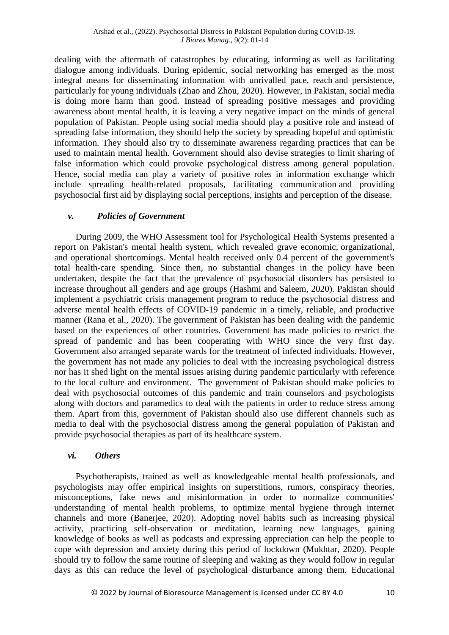dealing with the aftermath of catastrophes by educating, informing as well as facilitating dialogue among individuals. During epidemic, social networking has emerged as the most integral means for disseminating information with unrivalled pace, reach and persistence, particularly for young individuals (Zhao and Zhou, 2020). However, in Pakistan, social media is doing more harm than good. Instead of spreading positive messages and providing awareness about mental health, it is leaving a very negative impact on the minds of general population of Pakistan. People using social media should play a positive role and instead of spreading false information, they should help the society by spreading hopeful and optimistic information. They should also try to disseminate awareness regarding practices that can be used to maintain mental health. Government should also devise strategies to limit sharing of false information which could provoke psychological distress among general population. Hence, social media can play a variety of positive roles in information exchange which include spreading health-related proposals, facilitating communication and providing psychosocial first aid by displaying social perceptions, insights and perception of the disease.

# *v. Policies of Government*

During 2009, the WHO Assessment tool for Psychological Health Systems presented a report on Pakistan's mental health system, which revealed grave economic, organizational, and operational shortcomings. Mental health received only 0.4 percent of the government's total health-care spending. Since then, no substantial changes in the policy have been undertaken, despite the fact that the prevalence of psychosocial disorders has persisted to increase throughout all genders and age groups (Hashmi and Saleem, 2020). Pakistan should implement a psychiatric crisis management program to reduce the psychosocial distress and adverse mental health effects of COVID-19 pandemic in a timely, reliable, and productive manner (Rana et al., 2020). The government of Pakistan has been dealing with the pandemic based on the experiences of other countries. Government has made policies to restrict the spread of pandemic and has been cooperating with WHO since the very first day. Government also arranged separate wards for the treatment of infected individuals. However, the government has not made any policies to deal with the increasing psychological distress nor has it shed light on the mental issues arising during pandemic particularly with reference to the local culture and environment. The government of Pakistan should make policies to deal with psychosocial outcomes of this pandemic and train counselors and psychologists along with doctors and paramedics to deal with the patients in order to reduce stress among them. Apart from this, government of Pakistan should also use different channels such as media to deal with the psychosocial distress among the general population of Pakistan and provide psychosocial therapies as part of its healthcare system.

#### *vi. Others*

Psychotherapists, trained as well as knowledgeable mental health professionals, and psychologists may offer empirical insights on superstitions, rumors, conspiracy theories, misconceptions, fake news and misinformation in order to normalize communities' understanding of mental health problems, to optimize mental hygiene through internet channels and more (Banerjee, 2020). Adopting novel habits such as increasing physical activity, practicing self-observation or meditation, learning new languages, gaining knowledge of books as well as podcasts and expressing appreciation can help the people to cope with depression and anxiety during this period of lockdown (Mukhtar, 2020). People should try to follow the same routine of sleeping and waking as they would follow in regular days as this can reduce the level of psychological disturbance among them. Educational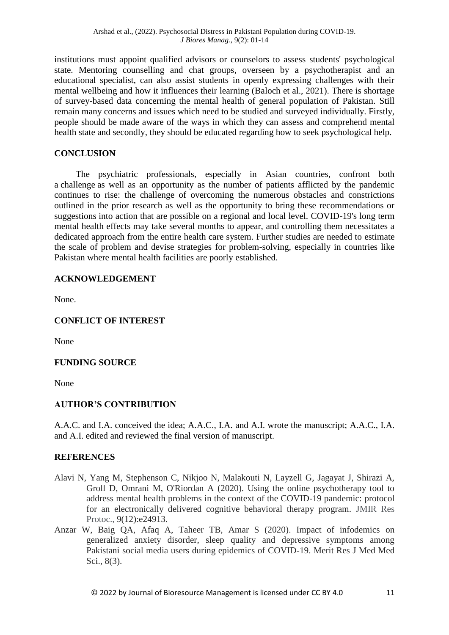institutions must appoint qualified advisors or counselors to assess students' psychological state. Mentoring counselling and chat groups, overseen by a psychotherapist and an educational specialist, can also assist students in openly expressing challenges with their mental wellbeing and how it influences their learning (Baloch et al., 2021). There is shortage of survey-based data concerning the mental health of general population of Pakistan. Still remain many concerns and issues which need to be studied and surveyed individually. Firstly, people should be made aware of the ways in which they can assess and comprehend mental health state and secondly, they should be educated regarding how to seek psychological help.

# **CONCLUSION**

The psychiatric professionals, especially in Asian countries, confront both a challenge as well as an opportunity as the number of patients afflicted by the pandemic continues to rise: the challenge of overcoming the numerous obstacles and constrictions outlined in the prior research as well as the opportunity to bring these recommendations or suggestions into action that are possible on a regional and local level. COVID-19's long term mental health effects may take several months to appear, and controlling them necessitates a dedicated approach from the entire health care system. Further studies are needed to estimate the scale of problem and devise strategies for problem-solving, especially in countries like Pakistan where mental health facilities are poorly established.

# **ACKNOWLEDGEMENT**

None.

# **CONFLICT OF INTEREST**

None

# **FUNDING SOURCE**

None

# **AUTHOR'S CONTRIBUTION**

A.A.C. and I.A. conceived the idea; A.A.C., I.A. and A.I. wrote the manuscript; A.A.C., I.A. and A.I. edited and reviewed the final version of manuscript.

# **REFERENCES**

- Alavi N, Yang M, Stephenson C, Nikjoo N, Malakouti N, Layzell G, Jagayat J, Shirazi A, Groll D, Omrani M, O'Riordan A (2020). Using the online psychotherapy tool to address mental health problems in the context of the COVID-19 pandemic: protocol for an electronically delivered cognitive behavioral therapy program. JMIR Res Protoc., 9(12):e24913.
- Anzar W, Baig QA, Afaq A, Taheer TB, Amar S (2020). Impact of infodemics on generalized anxiety disorder, sleep quality and depressive symptoms among Pakistani social media users during epidemics of COVID-19. Merit Res J Med Med Sci., 8(3).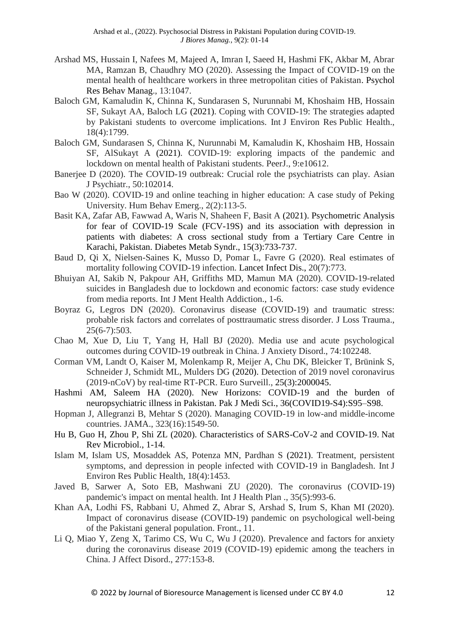- Arshad MS, Hussain I, Nafees M, Majeed A, Imran I, Saeed H, Hashmi FK, Akbar M, Abrar MA, Ramzan B, Chaudhry MO (2020). Assessing the Impact of COVID-19 on the mental health of healthcare workers in three metropolitan cities of Pakistan. Psychol Res Behav Manag., 13:1047.
- Baloch GM, Kamaludin K, Chinna K, Sundarasen S, Nurunnabi M, Khoshaim HB, Hossain SF, Sukayt AA, Baloch LG (2021). Coping with COVID-19: The strategies adapted by Pakistani students to overcome implications. Int J Environ Res Public Health., 18(4):1799.
- Baloch GM, Sundarasen S, Chinna K, Nurunnabi M, Kamaludin K, Khoshaim HB, Hossain SF, AlSukayt A (2021). COVID-19: exploring impacts of the pandemic and lockdown on mental health of Pakistani students. PeerJ., 9:e10612.
- Banerjee D (2020). The COVID-19 outbreak: Crucial role the psychiatrists can play. Asian J Psychiatr., 50:102014.
- Bao W (2020). COVID-19 and online teaching in higher education: A case study of Peking University. Hum Behav Emerg., 2(2):113-5.
- Basit KA, Zafar AB, Fawwad A, Waris N, Shaheen F, Basit A (2021). Psychometric Analysis for fear of COVID-19 Scale (FCV-19S) and its association with depression in patients with diabetes: A cross sectional study from a Tertiary Care Centre in Karachi, Pakistan. Diabetes Metab Syndr., 15(3):733-737.
- Baud D, Qi X, Nielsen-Saines K, Musso D, Pomar L, Favre G (2020). Real estimates of mortality following COVID-19 infection. Lancet Infect Dis., 20(7):773.
- Bhuiyan AI, Sakib N, Pakpour AH, Griffiths MD, Mamun MA (2020). COVID-19-related suicides in Bangladesh due to lockdown and economic factors: case study evidence from media reports. Int J Ment Health Addiction., 1-6.
- Boyraz G, Legros DN (2020). Coronavirus disease (COVID-19) and traumatic stress: probable risk factors and correlates of posttraumatic stress disorder. J Loss Trauma., 25(6-7):503.
- Chao M, Xue D, Liu T, Yang H, Hall BJ (2020). Media use and acute psychological outcomes during COVID-19 outbreak in China. J Anxiety Disord., 74:102248.
- Corman VM, Landt O, Kaiser M, Molenkamp R, Meijer A, Chu DK, Bleicker T, Brünink S, Schneider J, Schmidt ML, Mulders DG (2020). Detection of 2019 novel coronavirus (2019-nCoV) by real-time RT-PCR. Euro Surveill., 25(3):2000045.
- Hashmi AM, Saleem HA (2020). New Horizons: COVID-19 and the burden of neuropsychiatric illness in Pakistan. Pak J Medi Sci., 36(COVID19-S4):S95–S98.
- Hopman J, Allegranzi B, Mehtar S (2020). Managing COVID-19 in low-and middle-income countries. JAMA., 323(16):1549-50.
- Hu B, Guo H, Zhou P, Shi ZL (2020). Characteristics of SARS-CoV-2 and COVID-19. Nat Rev Microbiol., 1-14.
- Islam M, Islam US, Mosaddek AS, Potenza MN, Pardhan S (2021). Treatment, persistent symptoms, and depression in people infected with COVID-19 in Bangladesh. Int J Environ Res Public Health, 18(4):1453.
- Javed B, Sarwer A, Soto EB, Mashwani ZU (2020). The coronavirus (COVID‐19) pandemic's impact on mental health. Int J Health Plan ., 35(5):993-6.
- Khan AA, Lodhi FS, Rabbani U, Ahmed Z, Abrar S, Arshad S, Irum S, Khan MI (2020). Impact of coronavirus disease (COVID-19) pandemic on psychological well-being of the Pakistani general population. Front., 11.
- Li Q, Miao Y, Zeng X, Tarimo CS, Wu C, Wu J (2020). Prevalence and factors for anxiety during the coronavirus disease 2019 (COVID-19) epidemic among the teachers in China. J Affect Disord., 277:153-8.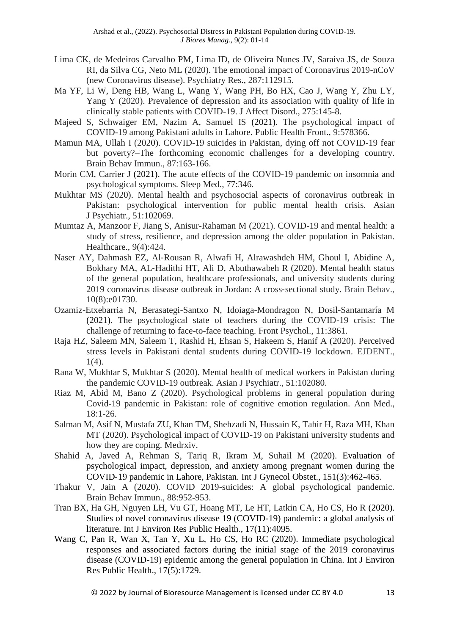- Lima CK, de Medeiros Carvalho PM, Lima ID, de Oliveira Nunes JV, Saraiva JS, de Souza RI, da Silva CG, Neto ML (2020). The emotional impact of Coronavirus 2019-nCoV (new Coronavirus disease). Psychiatry Res., 287:112915.
- Ma YF, Li W, Deng HB, Wang L, Wang Y, Wang PH, Bo HX, Cao J, Wang Y, Zhu LY, Yang Y (2020). Prevalence of depression and its association with quality of life in clinically stable patients with COVID-19. J Affect Disord., 275:145-8.
- Majeed S, Schwaiger EM, Nazim A, Samuel IS (2021). The psychological impact of COVID-19 among Pakistani adults in Lahore. Public Health Front., 9:578366.
- Mamun MA, Ullah I (2020). COVID-19 suicides in Pakistan, dying off not COVID-19 fear but poverty?–The forthcoming economic challenges for a developing country. Brain Behav Immun., 87:163-166.
- Morin CM, Carrier J (2021). The acute effects of the COVID-19 pandemic on insomnia and psychological symptoms. Sleep Med., 77:346.
- Mukhtar MS (2020). Mental health and psychosocial aspects of coronavirus outbreak in Pakistan: psychological intervention for public mental health crisis. Asian J Psychiatr., 51:102069.
- Mumtaz A, Manzoor F, Jiang S, Anisur-Rahaman M (2021). COVID-19 and mental health: a study of stress, resilience, and depression among the older population in Pakistan. Healthcare., 9(4):424.
- Naser AY, Dahmash EZ, Al‐Rousan R, Alwafi H, Alrawashdeh HM, Ghoul I, Abidine A, Bokhary MA, AL‐Hadithi HT, Ali D, Abuthawabeh R (2020). Mental health status of the general population, healthcare professionals, and university students during 2019 coronavirus disease outbreak in Jordan: A cross‐sectional study. Brain Behav., 10(8):e01730.
- Ozamiz-Etxebarria N, Berasategi-Santxo N, Idoiaga-Mondragon N, Dosil-Santamaría M (2021). The psychological state of teachers during the COVID-19 crisis: The challenge of returning to face-to-face teaching. Front Psychol., 11:3861.
- Raja HZ, Saleem MN, Saleem T, Rashid H, Ehsan S, Hakeem S, Hanif A (2020). Perceived stress levels in Pakistani dental students during COVID-19 lockdown. EJDENT., 1(4).
- Rana W, Mukhtar S, Mukhtar S (2020). Mental health of medical workers in Pakistan during the pandemic COVID-19 outbreak. Asian J Psychiatr., 51:102080.
- Riaz M, Abid M, Bano Z (2020). Psychological problems in general population during Covid-19 pandemic in Pakistan: role of cognitive emotion regulation. Ann Med., 18:1-26.
- Salman M, Asif N, Mustafa ZU, Khan TM, Shehzadi N, Hussain K, Tahir H, Raza MH, Khan MT (2020). Psychological impact of COVID-19 on Pakistani university students and how they are coping. Medrxiv.
- Shahid A, Javed A, Rehman S, Tariq R, Ikram M, Suhail M (2020). Evaluation of psychological impact, depression, and anxiety among pregnant women during the COVID‐19 pandemic in Lahore, Pakistan. Int J Gynecol Obstet., 151(3):462-465.
- Thakur V, Jain A (2020). COVID 2019-suicides: A global psychological pandemic. Brain Behav Immun., 88:952-953.
- Tran BX, Ha GH, Nguyen LH, Vu GT, Hoang MT, Le HT, Latkin CA, Ho CS, Ho R (2020). Studies of novel coronavirus disease 19 (COVID-19) pandemic: a global analysis of literature. Int J Environ Res Public Health., 17(11):4095.
- Wang C, Pan R, Wan X, Tan Y, Xu L, Ho CS, Ho RC (2020). Immediate psychological responses and associated factors during the initial stage of the 2019 coronavirus disease (COVID-19) epidemic among the general population in China. Int J Environ Res Public Health., 17(5):1729.